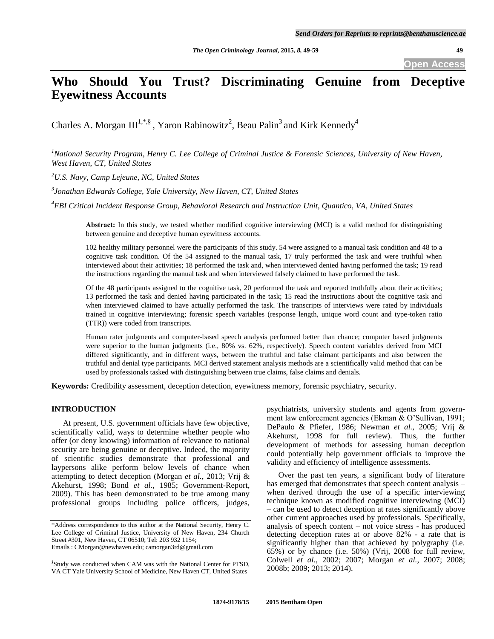**Open Access**

# **Who Should You Trust? Discriminating Genuine from Deceptive Eyewitness Accounts**

Charles A. Morgan III<sup>1,\*,§</sup>, Yaron Rabinowitz<sup>2</sup>, Beau Palin<sup>3</sup> and Kirk Kennedy<sup>4</sup>

*<sup>1</sup>National Security Program, Henry C. Lee College of Criminal Justice & Forensic Sciences, University of New Haven, West Haven, CT, United States*

*<sup>2</sup>U.S. Navy, Camp Lejeune, NC, United States*

*3 Jonathan Edwards College, Yale University, New Haven, CT, United States*

*<sup>4</sup>FBI Critical Incident Response Group, Behavioral Research and Instruction Unit, Quantico, VA, United States*

**Abstract:** In this study, we tested whether modified cognitive interviewing (MCI) is a valid method for distinguishing between genuine and deceptive human eyewitness accounts.

102 healthy military personnel were the participants of this study. 54 were assigned to a manual task condition and 48 to a cognitive task condition. Of the 54 assigned to the manual task, 17 truly performed the task and were truthful when interviewed about their activities; 18 performed the task and, when interviewed denied having performed the task; 19 read the instructions regarding the manual task and when interviewed falsely claimed to have performed the task.

Of the 48 participants assigned to the cognitive task, 20 performed the task and reported truthfully about their activities; 13 performed the task and denied having participated in the task; 15 read the instructions about the cognitive task and when interviewed claimed to have actually performed the task. The transcripts of interviews were rated by individuals trained in cognitive interviewing; forensic speech variables (response length, unique word count and type-token ratio (TTR)) were coded from transcripts.

Human rater judgments and computer-based speech analysis performed better than chance; computer based judgments were superior to the human judgments (i.e., 80% vs. 62%, respectively). Speech content variables derived from MCI differed significantly, and in different ways, between the truthful and false claimant participants and also between the truthful and denial type participants. MCI derived statement analysis methods are a scientifically valid method that can be used by professionals tasked with distinguishing between true claims, false claims and denials.

**Keywords:** Credibility assessment, deception detection, eyewitness memory, forensic psychiatry, security.

# **INTRODUCTION**

At present, U.S. government officials have few objective, scientifically valid, ways to determine whether people who offer (or deny knowing) information of relevance to national security are being genuine or deceptive. Indeed, the majority of scientific studies demonstrate that professional and laypersons alike perform below levels of chance when attempting to detect deception (Morgan *et al.*, 2013; Vrij & Akehurst, 1998; Bond *et al.*, 1985; Government-Report, 2009). This has been demonstrated to be true among many professional groups including police officers, judges,

psychiatrists, university students and agents from government law enforcement agencies (Ekman & O"Sullivan, 1991; DePaulo & Pfiefer, 1986; Newman *et al.,* 2005; Vrij & Akehurst, 1998 for full review). Thus, the further development of methods for assessing human deception could potentially help government officials to improve the validity and efficiency of intelligence assessments.

Over the past ten years, a significant body of literature has emerged that demonstrates that speech content analysis – when derived through the use of a specific interviewing technique known as modified cognitive interviewing (MCI) – can be used to detect deception at rates significantly above other current approaches used by professionals. Specifically, analysis of speech content – not voice stress - has produced detecting deception rates at or above 82% - a rate that is significantly higher than that achieved by polygraphy (i.e. 65%) or by chance (i.e. 50%) (Vrij, 2008 for full review, Colwell *et al.*, 2002; 2007; Morgan *et al.*, 2007; 2008; 2008b; 2009; 2013; 2014).

<sup>\*</sup>Address correspondence to this author at the National Security, Henry C. Lee College of Criminal Justice, University of New Haven, 234 Church Street #301, New Haven, CT 06510; Tel: 203 932 1154; Emails : CMorgan@newhaven.edu; camorgan3rd@gmail.com

<sup>§</sup> Study was conducted when CAM was with the National Center for PTSD, VA CT Yale University School of Medicine, New Haven CT, United States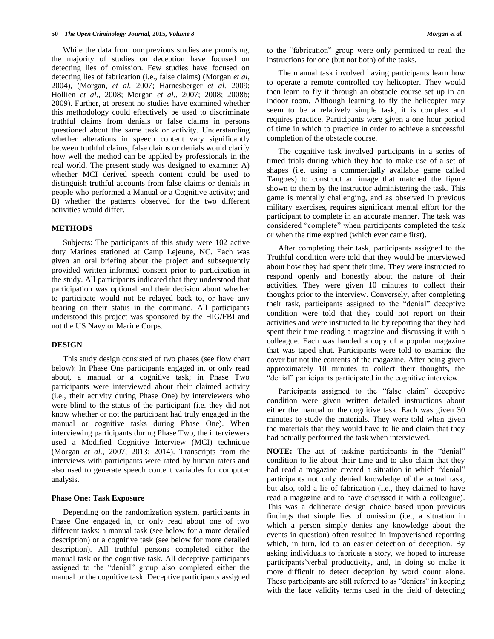While the data from our previous studies are promising, the majority of studies on deception have focused on detecting lies of omission. Few studies have focused on detecting lies of fabrication (i.e., false claims) (Morgan *et al,*  2004), (Morgan, *et al.* 2007; Harnesberger *et al.* 2009; Hollien *et al*., 2008; Morgan *et al.*, 2007; 2008; 2008b; 2009). Further, at present no studies have examined whether this methodology could effectively be used to discriminate truthful claims from denials or false claims in persons questioned about the same task or activity. Understanding whether alterations in speech content vary significantly between truthful claims, false claims or denials would clarify how well the method can be applied by professionals in the real world. The present study was designed to examine: A) whether MCI derived speech content could be used to distinguish truthful accounts from false claims or denials in people who performed a Manual or a Cognitive activity; and B) whether the patterns observed for the two different activities would differ.

## **METHODS**

Subjects: The participants of this study were 102 active duty Marines stationed at Camp Lejeune, NC. Each was given an oral briefing about the project and subsequently provided written informed consent prior to participation in the study. All participants indicated that they understood that participation was optional and their decision about whether to participate would not be relayed back to, or have any bearing on their status in the command. All participants understood this project was sponsored by the HIG/FBI and not the US Navy or Marine Corps.

#### **DESIGN**

This study design consisted of two phases (see flow chart below): In Phase One participants engaged in, or only read about, a manual or a cognitive task; in Phase Two participants were interviewed about their claimed activity (i.e., their activity during Phase One) by interviewers who were blind to the status of the participant (i.e. they did not know whether or not the participant had truly engaged in the manual or cognitive tasks during Phase One). When interviewing participants during Phase Two, the interviewers used a Modified Cognitive Interview (MCI) technique (Morgan *et al.,* 2007; 2013; 2014). Transcripts from the interviews with participants were rated by human raters and also used to generate speech content variables for computer analysis.

#### **Phase One: Task Exposure**

Depending on the randomization system, participants in Phase One engaged in, or only read about one of two different tasks: a manual task (see below for a more detailed description) or a cognitive task (see below for more detailed description). All truthful persons completed either the manual task or the cognitive task. All deceptive participants assigned to the "denial" group also completed either the manual or the cognitive task. Deceptive participants assigned to the "fabrication" group were only permitted to read the instructions for one (but not both) of the tasks.

The manual task involved having participants learn how to operate a remote controlled toy helicopter. They would then learn to fly it through an obstacle course set up in an indoor room. Although learning to fly the helicopter may seem to be a relatively simple task, it is complex and requires practice. Participants were given a one hour period of time in which to practice in order to achieve a successful completion of the obstacle course.

The cognitive task involved participants in a series of timed trials during which they had to make use of a set of shapes (i.e. using a commercially available game called Tangoes) to construct an image that matched the figure shown to them by the instructor administering the task. This game is mentally challenging, and as observed in previous military exercises, requires significant mental effort for the participant to complete in an accurate manner. The task was considered "complete" when participants completed the task or when the time expired (which ever came first).

After completing their task, participants assigned to the Truthful condition were told that they would be interviewed about how they had spent their time. They were instructed to respond openly and honestly about the nature of their activities. They were given 10 minutes to collect their thoughts prior to the interview. Conversely, after completing their task, participants assigned to the "denial" deceptive condition were told that they could not report on their activities and were instructed to lie by reporting that they had spent their time reading a magazine and discussing it with a colleague. Each was handed a copy of a popular magazine that was taped shut. Participants were told to examine the cover but not the contents of the magazine. After being given approximately 10 minutes to collect their thoughts, the "denial" participants participated in the cognitive interview.

Participants assigned to the "false claim" deceptive condition were given written detailed instructions about either the manual or the cognitive task. Each was given 30 minutes to study the materials. They were told when given the materials that they would have to lie and claim that they had actually performed the task when interviewed.

**NOTE:** The act of tasking participants in the "denial" condition to lie about their time and to also claim that they had read a magazine created a situation in which "denial" participants not only denied knowledge of the actual task, but also, told a lie of fabrication (i.e., they claimed to have read a magazine and to have discussed it with a colleague). This was a deliberate design choice based upon previous findings that simple lies of omission (i.e., a situation in which a person simply denies any knowledge about the events in question) often resulted in impoverished reporting which, in turn, led to an easier detection of deception. By asking individuals to fabricate a story, we hoped to increase participants"verbal productivity, and, in doing so make it more difficult to detect deception by word count alone. These participants are still referred to as "deniers" in keeping with the face validity terms used in the field of detecting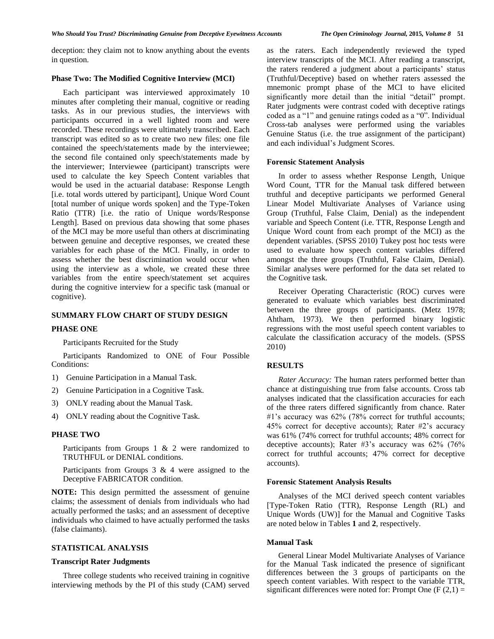deception: they claim not to know anything about the events in question.

## **Phase Two: The Modified Cognitive Interview (MCI)**

Each participant was interviewed approximately 10 minutes after completing their manual, cognitive or reading tasks. As in our previous studies, the interviews with participants occurred in a well lighted room and were recorded. These recordings were ultimately transcribed. Each transcript was edited so as to create two new files: one file contained the speech/statements made by the interviewee; the second file contained only speech/statements made by the interviewer; Interviewee (participant) transcripts were used to calculate the key Speech Content variables that would be used in the actuarial database: Response Length [i.e. total words uttered by participant], Unique Word Count [total number of unique words spoken] and the Type-Token Ratio (TTR) [i.e. the ratio of Unique words/Response Length]. Based on previous data showing that some phases of the MCI may be more useful than others at discriminating between genuine and deceptive responses, we created these variables for each phase of the MCI. Finally, in order to assess whether the best discrimination would occur when using the interview as a whole, we created these three variables from the entire speech/statement set acquires during the cognitive interview for a specific task (manual or cognitive).

# **SUMMARY FLOW CHART OF STUDY DESIGN**

## **PHASE ONE**

Participants Recruited for the Study

Participants Randomized to ONE of Four Possible Conditions:

- 1) Genuine Participation in a Manual Task.
- 2) Genuine Participation in a Cognitive Task.
- 3) ONLY reading about the Manual Task.
- 4) ONLY reading about the Cognitive Task.

# **PHASE TWO**

Participants from Groups 1 & 2 were randomized to TRUTHFUL or DENIAL conditions.

Participants from Groups 3 & 4 were assigned to the Deceptive FABRICATOR condition.

**NOTE:** This design permitted the assessment of genuine claims; the assessment of denials from individuals who had actually performed the tasks; and an assessment of deceptive individuals who claimed to have actually performed the tasks (false claimants).

## **STATISTICAL ANALYSIS**

# **Transcript Rater Judgments**

Three college students who received training in cognitive interviewing methods by the PI of this study (CAM) served as the raters. Each independently reviewed the typed interview transcripts of the MCI. After reading a transcript, the raters rendered a judgment about a participants' status (Truthful/Deceptive) based on whether raters assessed the mnemonic prompt phase of the MCI to have elicited significantly more detail than the initial "detail" prompt. Rater judgments were contrast coded with deceptive ratings coded as a "1" and genuine ratings coded as a "0". Individual Cross-tab analyses were performed using the variables Genuine Status (i.e. the true assignment of the participant) and each individual"s Judgment Scores.

### **Forensic Statement Analysis**

In order to assess whether Response Length, Unique Word Count, TTR for the Manual task differed between truthful and deceptive participants we performed General Linear Model Multivariate Analyses of Variance using Group (Truthful, False Claim, Denial) as the independent variable and Speech Content (i.e. TTR, Response Length and Unique Word count from each prompt of the MCI) as the dependent variables. (SPSS 2010) Tukey post hoc tests were used to evaluate how speech content variables differed amongst the three groups (Truthful, False Claim, Denial). Similar analyses were performed for the data set related to the Cognitive task.

Receiver Operating Characteristic (ROC) curves were generated to evaluate which variables best discriminated between the three groups of participants. (Metz 1978; Ahtham, 1973). We then performed binary logistic regressions with the most useful speech content variables to calculate the classification accuracy of the models. (SPSS 2010)

## **RESULTS**

*Rater Accuracy:* The human raters performed better than chance at distinguishing true from false accounts. Cross tab analyses indicated that the classification accuracies for each of the three raters differed significantly from chance. Rater #1's accuracy was 62% (78% correct for truthful accounts; 45% correct for deceptive accounts); Rater #2"s accuracy was 61% (74% correct for truthful accounts; 48% correct for deceptive accounts); Rater  $#3$ 's accuracy was  $62\%$  (76%) correct for truthful accounts; 47% correct for deceptive accounts).

### **Forensic Statement Analysis Results**

Analyses of the MCI derived speech content variables [Type-Token Ratio (TTR), Response Length (RL) and Unique Words (UW)] for the Manual and Cognitive Tasks are noted below in Tables **1** and **2**, respectively.

#### **Manual Task**

General Linear Model Multivariate Analyses of Variance for the Manual Task indicated the presence of significant differences between the 3 groups of participants on the speech content variables. With respect to the variable TTR, significant differences were noted for: Prompt One  $(F(2,1) =$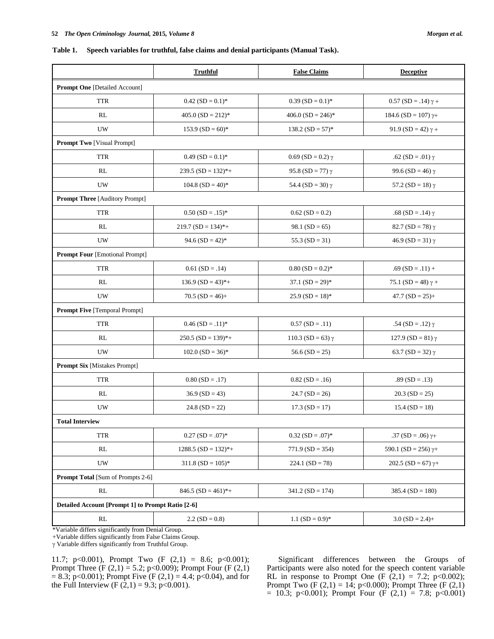**Table 1. Speech variables for truthful, false claims and denial participants (Manual Task).**

| Morgan et al. |  |
|---------------|--|
|               |  |

|                                                    | <b>Truthful</b>                 | <b>False Claims</b>             | <b>Deceptive</b>              |
|----------------------------------------------------|---------------------------------|---------------------------------|-------------------------------|
| <b>Prompt One [Detailed Account]</b>               |                                 |                                 |                               |
| <b>TTR</b>                                         | $0.42$ (SD = 0.1)*              | $0.39$ (SD = 0.1)*              | $0.57$ (SD = .14) $\gamma$ +  |
| RL                                                 | $405.0$ (SD = 212) <sup>*</sup> | $406.0$ (SD = 246) <sup>*</sup> | $184.6$ (SD = 107) $\gamma$ + |
| UW                                                 | $153.9$ (SD = 60)*              | $138.2$ (SD = 57) <sup>*</sup>  | 91.9 (SD = 42) $\gamma$ +     |
| <b>Prompt Two [Visual Prompt]</b>                  |                                 |                                 |                               |
| <b>TTR</b>                                         | $0.49$ (SD = 0.1)*              | 0.69 (SD = 0.2) γ               | .62 (SD = .01) γ              |
| RL                                                 | $239.5$ (SD = 132)*+            | 95.8 (SD = 77) $\gamma$         | 99.6 (SD = 46) $\gamma$       |
| UW                                                 | $104.8$ (SD = 40)*              | 54.4 (SD = 30) $\gamma$         | 57.2 (SD = 18) $\gamma$       |
| <b>Prompt Three [Auditory Prompt]</b>              |                                 |                                 |                               |
| <b>TTR</b>                                         | $0.50$ (SD = .15)*              | $0.62$ (SD = 0.2)               | .68 (SD = .14) γ              |
| RL                                                 | $219.7$ (SD = 134)*+            | $98.1$ (SD = 65)                | $82.7(SD = 78)$ $\gamma$      |
| UW                                                 | $94.6$ (SD = 42) <sup>*</sup>   | 55.3 $(SD = 31)$                | $46.9$ (SD = 31) $\gamma$     |
| <b>Prompt Four [Emotional Prompt]</b>              |                                 |                                 |                               |
| <b>TTR</b>                                         | $0.61$ (SD = .14)               | $0.80$ (SD = 0.2)*              | $.69$ (SD = .11) +            |
| RL                                                 | $136.9$ (SD = 43)*+             | $37.1$ (SD = 29) <sup>*</sup>   | 75.1 (SD = 48) $\gamma$ +     |
| UW                                                 | $70.5$ (SD = 46)+               | $25.9$ (SD = 18)*               | $47.7(SD = 25) +$             |
| <b>Prompt Five [Temporal Prompt]</b>               |                                 |                                 |                               |
| <b>TTR</b>                                         | $0.46$ (SD = .11)*              | $0.57(SD = .11)$                | .54 (SD = .12) γ              |
| RL                                                 | $250.5$ (SD = 139)*+            | 110.3 (SD = 63) $\gamma$        | 127.9 (SD = 81) $\gamma$      |
| UW                                                 | $102.0$ (SD = 36)*              | 56.6 $(SD = 25)$                | 63.7 (SD = 32) $\gamma$       |
| <b>Prompt Six [Mistakes Prompt]</b>                |                                 |                                 |                               |
| <b>TTR</b>                                         | $0.80$ (SD = .17)               | $0.82$ (SD = .16)               | $.89(SD = .13)$               |
| RL                                                 | $36.9 (SD = 43)$                | $24.7(SD = 26)$                 | $20.3(SD = 25)$               |
| <b>UW</b>                                          | $24.8(SD = 22)$                 | $17.3(SD = 17)$                 | $15.4$ (SD = 18)              |
| <b>Total Interview</b>                             |                                 |                                 |                               |
| <b>TTR</b>                                         | $0.27$ (SD = .07)*              | $0.32$ (SD = .07)*              | .37 (SD = .06) $\gamma$ +     |
| RL                                                 | $1288.5$ (SD = 132)*+           | $771.9$ (SD = 354)              | 590.1 (SD = 256) $\gamma$ +   |
| UW                                                 | $311.8$ (SD = 105) <sup>*</sup> | $224.1$ (SD = 78)               | 202.5 (SD = 67) $\gamma$ +    |
| <b>Prompt Total [Sum of Prompts 2-6]</b>           |                                 |                                 |                               |
| RL                                                 | $846.5$ (SD = 461)*+            | $341.2(SD = 174)$               | 385.4 ( $SD = 180$ )          |
| Detailed Account [Prompt 1] to Prompt Ratio [2-6]  |                                 |                                 |                               |
| $\mathbf{RL}$                                      | $2.2(SD = 0.8)$                 | 1.1 $(SD = 0.9)^*$              | $3.0$ (SD = 2.4)+             |
| *Variable differs significantly from Denial Group. |                                 |                                 |                               |

+Variable differs significantly from False Claims Group.

Variable differs significantly from Truthful Group.

11.7; p<0.001), Prompt Two  $(F (2,1) = 8.6; p<0.001)$ ; Prompt Three (F (2,1) = 5.2; p<0.009); Prompt Four (F (2,1)  $= 8.3$ ; p<0.001); Prompt Five (F (2,1) = 4.4; p<0.04), and for the Full Interview (F  $(2,1) = 9.3$ ; p<0.001).

Significant differences between the Groups of Participants were also noted for the speech content variable RL in response to Prompt One (F  $(2,1) = 7.2$ ; p<0.002); Prompt Two (F  $(2,1) = 14$ ; p<0.000); Prompt Three (F  $(2,1)$ )  $= 10.3$ ; p<0.001); Prompt Four (F (2,1) = 7.8; p<0.001)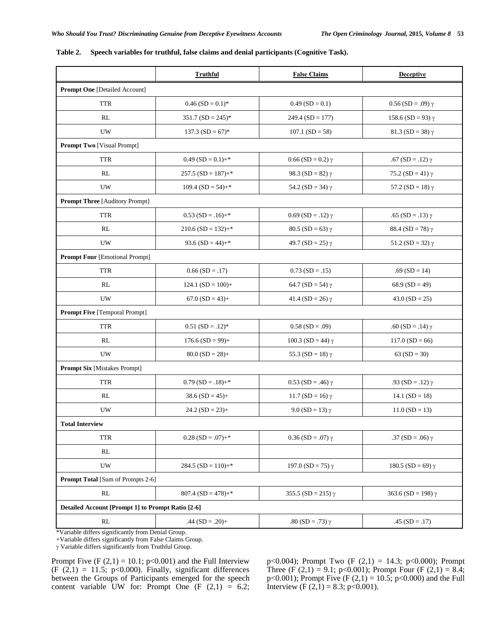|                                                   | <b>Truthful</b>                | <b>False Claims</b>         | <b>Deceptive</b>           |
|---------------------------------------------------|--------------------------------|-----------------------------|----------------------------|
| <b>Prompt One [Detailed Account]</b>              |                                |                             |                            |
| <b>TTR</b>                                        | $0.46$ (SD = 0.1) <sup>*</sup> | $0.49$ (SD = 0.1)           | $0.56$ (SD = .09) $\gamma$ |
| RL                                                | $351.7$ (SD = 245)*            | $249.4$ (SD = 177)          | 158.6 (SD = 93) $\gamma$   |
| $\ensuremath{\text{U}}\ensuremath{\text{W}}$      | $137.3$ (SD = 67)*             | $107.1(SD = 58)$            | 81.3 (SD = 38) $\gamma$    |
| <b>Prompt Two</b> [Visual Prompt]                 |                                |                             |                            |
| <b>TTR</b>                                        | $0.49$ (SD = $0.1$ )+*         | $0.66$ (SD = 0.2) $\gamma$  | .67 (SD = .12) $\gamma$    |
| RL                                                | $257.5$ (SD = 187)+*           | 98.3 (SD = 82) $\gamma$     | 75.2 (SD = 41) $\gamma$    |
| $\ensuremath{\text{U}}\ensuremath{\text{W}}$      | $109.4$ (SD = 54)+*            | 54.2 (SD = 34) $\gamma$     | 57.2 (SD = 18) $\gamma$    |
| <b>Prompt Three [Auditory Prompt]</b>             |                                |                             |                            |
| <b>TTR</b>                                        | $0.53$ (SD = .16)+*            | $0.69$ (SD = .12) $\gamma$  | .65 (SD = .13) $\gamma$    |
| RL                                                | $210.6$ (SD = 132)+*           | $80.5(SD = 63)$ $\gamma$    | 88.4 (SD = 78) $\gamma$    |
| <b>UW</b>                                         | 93.6 $(SD = 44) +$ *           | 49.7 (SD = 25) $\gamma$     | 51.2 (SD = 32) $\gamma$    |
| <b>Prompt Four [Emotional Prompt]</b>             |                                |                             |                            |
| <b>TTR</b>                                        | $0.66$ (SD = .17)              | $0.73$ (SD = .15)           | $.69$ (SD = 14)            |
| RL                                                | $124.1$ (SD = 100)+            | 64.7 (SD = 54) $\gamma$     | 68.9 (SD = 49)             |
| UW                                                | $67.0$ $(SD = 43) +$           | 41.4 (SD = 26) $\gamma$     | $43.0$ (SD = 25)           |
| <b>Prompt Five [Temporal Prompt]</b>              |                                |                             |                            |
| <b>TTR</b>                                        | $0.51$ (SD = .12) <sup>*</sup> | $0.58$ (SD = .09)           | .60 (SD = .14) γ           |
| RL                                                | $176.6$ (SD = 99)+             | 100.3 (SD = 44) $\gamma$    | $117.0$ (SD = 66)          |
| $\ensuremath{\text{U}}\ensuremath{\text{W}}$      | $80.0$ (SD = 28)+              | 55.3 (SD = 18) $\gamma$     | 63 ( $SD = 30$ )           |
| <b>Prompt Six [Mistakes Prompt]</b>               |                                |                             |                            |
| <b>TTR</b>                                        | $0.79$ (SD = .18)+*            | $0.53$ (SD = .46) $\gamma$  | .93 (SD = .12) γ           |
| RL                                                | $38.6$ (SD = 45)+              | 11.7 (SD = 16) $\gamma$     | 14.1 $(SD = 18)$           |
| UW                                                | $24.2$ (SD = 23)+              | 9.0 (SD = 13) $\gamma$      | $11.0(SD = 13)$            |
| <b>Total Interview</b>                            |                                |                             |                            |
| <b>TTR</b>                                        | $0.28$ (SD = .07)+*            | $0.36$ (SD = .07) $\gamma$  | .37 (SD = .06) γ           |
| RL                                                |                                |                             |                            |
| UW                                                | $284.5$ (SD = 110)+*           | 197.0 (SD = 75) $\gamma$    | 180.5 (SD = 69) $\gamma$   |
| <b>Prompt Total [Sum of Prompts 2-6]</b>          |                                |                             |                            |
| RL                                                | $807.4$ (SD = 478)+*           | 355.5 (SD = 215) $\gamma$   | 363.6 (SD = 198) $\gamma$  |
| Detailed Account [Prompt 1] to Prompt Ratio [2-6] |                                |                             |                            |
| $\mathbf{RL}$                                     | $.44$ (SD = .20)+              | .80 ( $SD = .73$ ) $\gamma$ | $.45(SD = .17)$            |
|                                                   |                                |                             |                            |

|  |  | Table 2. Speech variables for truthful, false claims and denial participants (Cognitive Task). |  |  |
|--|--|------------------------------------------------------------------------------------------------|--|--|
|--|--|------------------------------------------------------------------------------------------------|--|--|

\*Variable differs significantly from Denial Group.

+Variable differs significantly from False Claims Group.

Variable differs significantly from Truthful Group.

Prompt Five  $(F (2,1) = 10.1; p<0.001)$  and the Full Interview  $(F (2,1) = 11.5; p<0.000)$ . Finally, significant differences between the Groups of Participants emerged for the speech content variable UW for: Prompt One  $(F (2,1) = 6.2;$  p<0.004); Prompt Two (F  $(2,1) = 14.3$ ; p<0.000); Prompt Three (F  $(2,1) = 9.1$ ; p<0.001); Prompt Four (F  $(2,1) = 8.4$ ; p<0.001); Prompt Five  $(F (2,1) = 10.5; p<0.000)$  and the Full Interview (F  $(2,1) = 8.3$ ; p<0.001).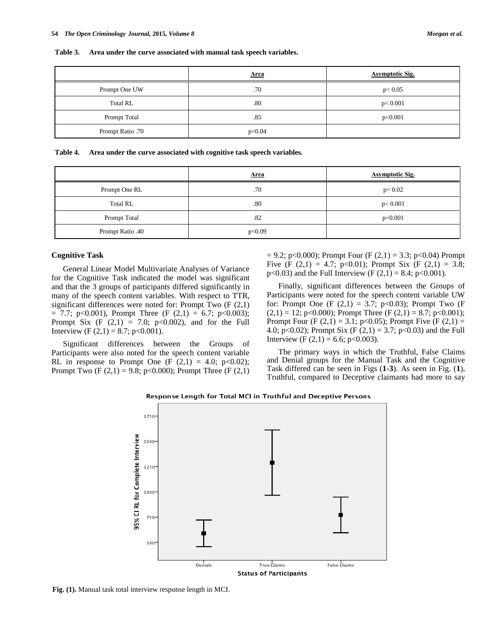**Table 3. Area under the curve associated with manual task speech variables.**

|                  | <b>Area</b> | <b>Asymptotic Sig.</b> |
|------------------|-------------|------------------------|
| Prompt One UW    | .70         | p < 0.05               |
| <b>Total RL</b>  | .80         | p < 0.001              |
| Prompt Total     | .85         | p<0.001                |
| Prompt Ratio .70 | p<0.04      |                        |

**Table 4. Area under the curve associated with cognitive task speech variables.**

|                  | Area   | <b>Asymptotic Sig.</b> |
|------------------|--------|------------------------|
| Prompt One RL    | .70    | p < 0.02               |
| <b>Total RL</b>  | .80    | p < 0.001              |
| Prompt Total     | .82    | p<0.001                |
| Prompt Ratio .40 | p<0.09 |                        |

#### **Cognitive Task**

General Linear Model Multivariate Analyses of Variance for the Cognitive Task indicated the model was significant and that the 3 groups of participants differed significantly in many of the speech content variables. With respect to TTR, significant differences were noted for: Prompt Two (F (2,1)  $= 7.7$ ; p<0.001), Prompt Three (F (2,1) = 6.7; p<0.003); Prompt Six  $(F (2,1) = 7.0; p<0.002)$ , and for the Full Interview (F  $(2,1) = 8.7$ ; p<0.001).

Significant differences between the Groups of Participants were also noted for the speech content variable RL in response to Prompt One (F  $(2,1) = 4.0$ ; p<0.02); Prompt Two  $(F (2,1) = 9.8; p<0.000)$ ; Prompt Three  $(F (2,1))$   $= 9.2$ ; p<0.000); Prompt Four (F (2,1) = 3.3; p<0.04) Prompt Five (F  $(2,1) = 4.7$ ; p<0.01); Prompt Six (F  $(2,1) = 3.8$ ; p<0.03) and the Full Interview (F  $(2,1) = 8.4$ ; p<0.001).

Finally, significant differences between the Groups of Participants were noted for the speech content variable UW for: Prompt One (F  $(2,1) = 3.7$ ; p<0.03); Prompt Two (F  $(2,1) = 12$ ; p<0.000); Prompt Three (F  $(2,1) = 8.7$ ; p<0.001); Prompt Four (F  $(2,1) = 3.1$ ; p<0.05); Prompt Five (F  $(2,1) =$ 4.0; p<0.02); Prompt Six (F  $(2,1) = 3.7$ ; p<0.03) and the Full Interview (F  $(2,1) = 6.6$ ; p<0.003).

The primary ways in which the Truthful, False Claims and Denial groups for the Manual Task and the Cognitive Task differed can be seen in Figs (**1-3**). As seen in Fig. (**1**), Truthful, compared to Deceptive claimants had more to say



Response Length for Total MCI in Truthful and Deceptive Persons

**Fig. (1).** Manual task total interview response length in MCI.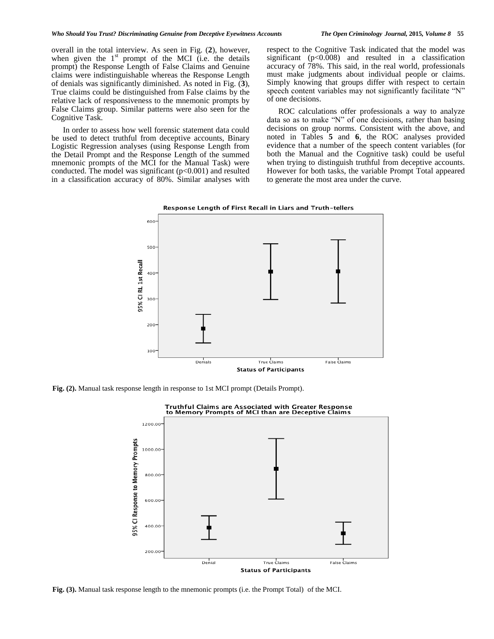overall in the total interview. As seen in Fig. (**2**), however, when given the  $1<sup>st</sup>$  prompt of the MCI (i.e. the details prompt) the Response Length of False Claims and Genuine claims were indistinguishable whereas the Response Length of denials was significantly diminished. As noted in Fig. (**3**), True claims could be distinguished from False claims by the relative lack of responsiveness to the mnemonic prompts by False Claims group. Similar patterns were also seen for the Cognitive Task.

In order to assess how well forensic statement data could be used to detect truthful from deceptive accounts, Binary Logistic Regression analyses (using Response Length from the Detail Prompt and the Response Length of the summed mnemonic prompts of the MCI for the Manual Task) were conducted. The model was significant  $(p<0.001)$  and resulted in a classification accuracy of 80%. Similar analyses with respect to the Cognitive Task indicated that the model was significant  $(p<0.008)$  and resulted in a classification accuracy of 78%. This said, in the real world, professionals must make judgments about individual people or claims. Simply knowing that groups differ with respect to certain speech content variables may not significantly facilitate "N" of one decisions.

ROC calculations offer professionals a way to analyze data so as to make "N" of one decisions, rather than basing decisions on group norms. Consistent with the above, and noted in Tables **5** and **6**, the ROC analyses provided evidence that a number of the speech content variables (for both the Manual and the Cognitive task) could be useful when trying to distinguish truthful from deceptive accounts. However for both tasks, the variable Prompt Total appeared to generate the most area under the curve.





**Fig. (2).** Manual task response length in response to 1st MCI prompt (Details Prompt).



**Fig. (3).** Manual task response length to the mnemonic prompts (i.e. the Prompt Total) of the MCI.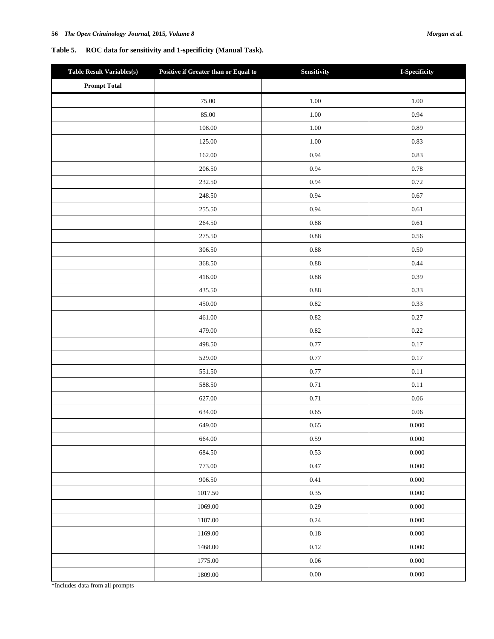# **Table 5. ROC data for sensitivity and 1-specificity (Manual Task).**

| <b>Table Result Variables(s)</b> | Positive if Greater than or Equal to | Sensitivity | I-Specificity |
|----------------------------------|--------------------------------------|-------------|---------------|
| <b>Prompt Total</b>              |                                      |             |               |
|                                  | 75.00                                | 1.00        | $1.00\,$      |
|                                  | 85.00                                | 1.00        | 0.94          |
|                                  | 108.00                               | 1.00        | 0.89          |
|                                  | 125.00                               | 1.00        | 0.83          |
|                                  | 162.00                               | 0.94        | 0.83          |
|                                  | 206.50                               | 0.94        | 0.78          |
|                                  | 232.50                               | 0.94        | 0.72          |
|                                  | 248.50                               | 0.94        | 0.67          |
|                                  | 255.50                               | 0.94        | 0.61          |
|                                  | 264.50                               | 0.88        | 0.61          |
|                                  | 275.50                               | 0.88        | 0.56          |
|                                  | 306.50                               | 0.88        | $0.50\,$      |
|                                  | 368.50                               | 0.88        | 0.44          |
|                                  | 416.00                               | 0.88        | 0.39          |
|                                  | 435.50                               | 0.88        | 0.33          |
|                                  | 450.00                               | 0.82        | 0.33          |
|                                  | 461.00                               | 0.82        | 0.27          |
|                                  | 479.00                               | 0.82        | 0.22          |
|                                  | 498.50                               | 0.77        | 0.17          |
|                                  | 529.00                               | 0.77        | 0.17          |
|                                  | 551.50                               | 0.77        | $0.11\,$      |
|                                  | 588.50                               | 0.71        | $0.11\,$      |
|                                  | 627.00                               | 0.71        | $0.06\,$      |
|                                  | 634.00                               | 0.65        | $0.06\,$      |
|                                  | 649.00                               | $0.65\,$    | $0.000\,$     |
|                                  | 664.00                               | 0.59        | 0.000         |
|                                  | 684.50                               | 0.53        | 0.000         |
|                                  | 773.00                               | 0.47        | $0.000\,$     |
|                                  | 906.50                               | 0.41        | $0.000\,$     |
|                                  | 1017.50                              | 0.35        | 0.000         |
|                                  | 1069.00                              | 0.29        | $0.000\,$     |
|                                  | 1107.00                              | 0.24        | $0.000\,$     |
|                                  | 1169.00                              | $0.18\,$    | $0.000\,$     |
|                                  | 1468.00                              | 0.12        | $0.000\,$     |
|                                  | 1775.00                              | $0.06\,$    | $0.000\,$     |
|                                  | 1809.00                              | $0.00\,$    | $0.000\,$     |

\*Includes data from all prompts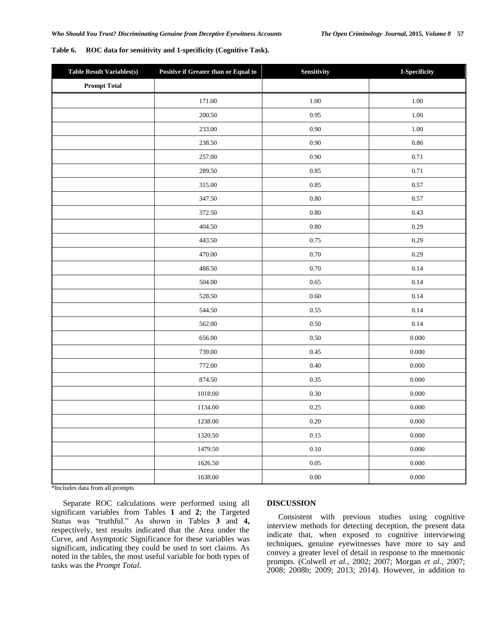| Table 6. | ROC data for sensitivity and 1-specificity (Cognitive Task). |  |  |
|----------|--------------------------------------------------------------|--|--|
|----------|--------------------------------------------------------------|--|--|

| <b>Table Result Variables(s)</b> | Positive if Greater than or Equal to | Sensitivity | I-Specificity |
|----------------------------------|--------------------------------------|-------------|---------------|
| <b>Prompt Total</b>              |                                      |             |               |
|                                  | 171.00                               | 1.00        | 1.00          |
|                                  | 200.50                               | 0.95        | 1.00          |
|                                  | 233.00                               | $0.90\,$    | $1.00\,$      |
|                                  | 238.50                               | 0.90        | 0.86          |
|                                  | 257.00                               | 0.90        | 0.71          |
|                                  | 289.50                               | 0.85        | 0.71          |
|                                  | 315.00                               | 0.85        | 0.57          |
|                                  | 347.50                               | $0.80\,$    | 0.57          |
|                                  | 372.50                               | $0.80\,$    | 0.43          |
|                                  | 404.50                               | $0.80\,$    | 0.29          |
|                                  | 443.50                               | 0.75        | 0.29          |
|                                  | 470.00                               | $0.70\,$    | 0.29          |
|                                  | 488.50                               | 0.70        | 0.14          |
|                                  | 504.00                               | 0.65        | 0.14          |
|                                  | 528.50                               | 0.60        | 0.14          |
|                                  | 544.50                               | 0.55        | 0.14          |
|                                  | 562.00                               | 0.50        | 0.14          |
|                                  | 656.00                               | 0.50        | 0.000         |
|                                  | 739.00                               | 0.45        | $0.000\,$     |
|                                  | 772.00                               | 0.40        | 0.000         |
|                                  | 874.50                               | 0.35        | 0.000         |
|                                  | 1018.00                              | 0.30        | $0.000\,$     |
|                                  | 1134.00                              | 0.25        | 0.000         |
|                                  | 1238.00                              | $0.20\,$    | 0.000         |
|                                  | 1320.50                              | 0.15        | 0.000         |
|                                  | 1479.50                              | $0.10\,$    | $0.000\,$     |
|                                  | 1626.50                              | $0.05\,$    | 0.000         |
|                                  | 1638.00                              | $0.00\,$    | 0.000         |

\*Includes data from all prompts

Separate ROC calculations were performed using all significant variables from Tables **1** and **2**; the Targeted Status was "truthful." As shown in Tables **3** and **4,**  respectively, test results indicated that the Area under the Curve, and Asymptotic Significance for these variables was significant, indicating they could be used to sort claims. As noted in the tables, the most useful variable for both types of tasks was the *Prompt Total*.

### **DISCUSSION**

Consistent with previous studies using cognitive interview methods for detecting deception, the present data indicate that, when exposed to cognitive interviewing techniques, genuine eyewitnesses have more to say and convey a greater level of detail in response to the mnemonic prompts. (Colwell *et al.*, 2002; 2007; Morgan *et al.*, 2007; 2008; 2008b; 2009; 2013; 2014). However, in addition to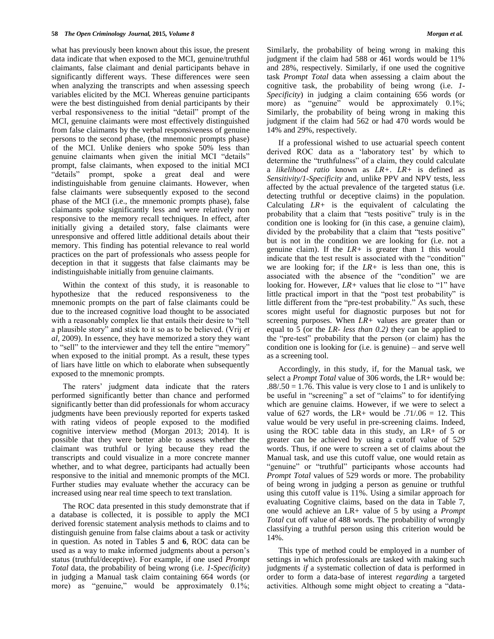what has previously been known about this issue, the present data indicate that when exposed to the MCI, genuine/truthful claimants, false claimant and denial participants behave in significantly different ways. These differences were seen when analyzing the transcripts and when assessing speech variables elicited by the MCI. Whereas genuine participants were the best distinguished from denial participants by their verbal responsiveness to the initial "detail" prompt of the MCI, genuine claimants were most effectively distinguished from false claimants by the verbal responsiveness of genuine persons to the second phase, (the mnemonic prompts phase) of the MCI. Unlike deniers who spoke 50% less than genuine claimants when given the initial MCI "details" prompt, false claimants, when exposed to the initial MCI "details" prompt, spoke a great deal and were indistinguishable from genuine claimants. However, when false claimants were subsequently exposed to the second phase of the MCI (i.e., the mnemonic prompts phase), false claimants spoke significantly less and were relatively non responsive to the memory recall techniques. In effect, after initially giving a detailed story, false claimants were unresponsive and offered little additional details about their memory. This finding has potential relevance to real world practices on the part of professionals who assess people for deception in that it suggests that false claimants may be indistinguishable initially from genuine claimants.

Within the context of this study, it is reasonable to hypothesize that the reduced responsiveness to the mnemonic prompts on the part of false claimants could be due to the increased cognitive load thought to be associated with a reasonably complex lie that entails their desire to "tell a plausible story" and stick to it so as to be believed. (Vrij *et al*, 2009). In essence, they have memorized a story they want to "sell" to the interviewer and they tell the entire "memory" when exposed to the initial prompt. As a result, these types of liars have little on which to elaborate when subsequently exposed to the mnemonic prompts.

The raters' judgment data indicate that the raters performed significantly better than chance and performed significantly better than did professionals for whom accuracy judgments have been previously reported for experts tasked with rating videos of people exposed to the modified cognitive interview method (Morgan 2013; 2014). It is possible that they were better able to assess whether the claimant was truthful or lying because they read the transcripts and could visualize in a more concrete manner whether, and to what degree, participants had actually been responsive to the initial and mnemonic prompts of the MCI. Further studies may evaluate whether the accuracy can be increased using near real time speech to text translation.

The ROC data presented in this study demonstrate that if a database is collected, it is possible to apply the MCI derived forensic statement analysis methods to claims and to distinguish genuine from false claims about a task or activity in question. As noted in Tables **5** and **6**, ROC data can be used as a way to make informed judgments about a person"s status (truthful/deceptive). For example, if one used *Prompt Total* data, the probability of being wrong (i.e. *1-Specificity*) in judging a Manual task claim containing 664 words (or more) as "genuine," would be approximately 0.1%;

Similarly, the probability of being wrong in making this judgment if the claim had 588 or 461 words would be 11% and 28%, respectively. Similarly, if one used the cognitive task *Prompt Total* data when assessing a claim about the cognitive task, the probability of being wrong (i.e. *1- Specificity*) in judging a claim containing 656 words (or more) as "genuine" would be approximately 0.1%; Similarly, the probability of being wrong in making this judgment if the claim had 562 or had 470 words would be 14% and 29%, respectively.

If a professional wished to use actuarial speech content derived ROC data as a "laboratory test" by which to determine the "truthfulness" of a claim, they could calculate a *likelihood ratio* known as *LR+*. *LR+* is defined as *Sensitivity/1-Specificity* and, unlike PPV and NPV tests, less affected by the actual prevalence of the targeted status (i.e. detecting truthful or deceptive claims) in the population. Calculating *LR+* is the equivalent of calculating the probability that a claim that "tests positive" truly is in the condition one is looking for (in this case, a genuine claim), divided by the probability that a claim that "tests positive" but is not in the condition we are looking for (i.e. not a genuine claim). If the *LR+* is greater than 1 this would indicate that the test result is associated with the "condition" we are looking for; if the *LR+* is less than one, this is associated with the absence of the "condition" we are looking for. However, *LR+* values that lie close to "1" have little practical import in that the "post test probability" is little different from the "pre-test probability." As such, these scores might useful for diagnostic purposes but not for screening purposes. When *LR+* values are greater than or equal to 5 (or the *LR- less than 0.2)* they can be applied to the "pre-test" probability that the person (or claim) has the condition one is looking for (i.e. is genuine) – and serve well as a screening tool.

Accordingly, in this study, if, for the Manual task, we select a *Prompt Total* value of 306 words, the LR+ would be:  $.88/.50 = 1.76$ . This value is very close to 1 and is unlikely to be useful in "screening" a set of "claims" to for identifying which are genuine claims. However, if we were to select a value of 627 words, the LR+ would be  $.71/06 = 12$ . This value would be very useful in pre-screening claims. Indeed, using the ROC table data in this study, an LR+ of 5 or greater can be achieved by using a cutoff value of 529 words. Thus, if one were to screen a set of claims about the Manual task, and use this cutoff value, one would retain as "genuine" or "truthful" participants whose accounts had *Prompt Total* values of 529 words or more. The probability of being wrong in judging a person as genuine or truthful using this cutoff value is 11%. Using a similar approach for evaluating Cognitive claims, based on the data in Table 7, one would achieve an LR+ value of 5 by using a *Prompt Total* cut off value of 488 words. The probability of wrongly classifying a truthful person using this criterion would be 14%.

This type of method could be employed in a number of settings in which professionals are tasked with making such judgments *if* a systematic collection of data is performed in order to form a data-base of interest *regarding* a targeted activities. Although some might object to creating a "data